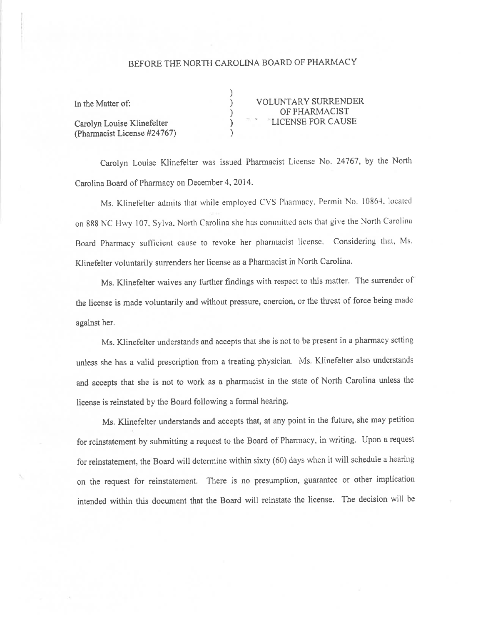## BEFORE THE NORTH CAROLINA BOARD OF PHARMACY

 $\overline{\mathcal{E}}$ 

 $\overline{\mathcal{E}}$ 

| In the Matter of:                                         |  |
|-----------------------------------------------------------|--|
| Carolyn Louise Klinefelter<br>(Pharmacist License #24767) |  |

**VOLUNTARY SURRENDER** OF PHARMACIST **LICENSE FOR CAUSE** 

Carolyn Louise Klinefelter was issued Pharmacist License No. 24767, by the North Carolina Board of Pharmacy on December 4, 2014.

Ms. Klinefelter admits that while employed CVS Pharmacy, Permit No. 10864, located on 888 NC Hwy 107, Sylva, North Carolina she has committed acts that give the North Carolina Board Pharmacy sufficient cause to revoke her pharmacist license. Considering that, Ms. Klinefelter voluntarily surrenders her license as a Pharmacist in North Carolina.

Ms. Klinefelter waives any further findings with respect to this matter. The surrender of the license is made voluntarily and without pressure, coercion, or the threat of force being made against her.

Ms. Klinefelter understands and accepts that she is not to be present in a pharmacy setting unless she has a valid prescription from a treating physician. Ms. Klinefelter also understands and accepts that she is not to work as a pharmacist in the state of North Carolina unless the license is reinstated by the Board following a formal hearing.

Ms. Klinefelter understands and accepts that, at any point in the future, she may petition for reinstatement by submitting a request to the Board of Pharmacy, in writing. Upon a request for reinstatement, the Board will determine within sixty (60) days when it will schedule a hearing on the request for reinstatement. There is no presumption, guarantee or other implication intended within this document that the Board will reinstate the license. The decision will be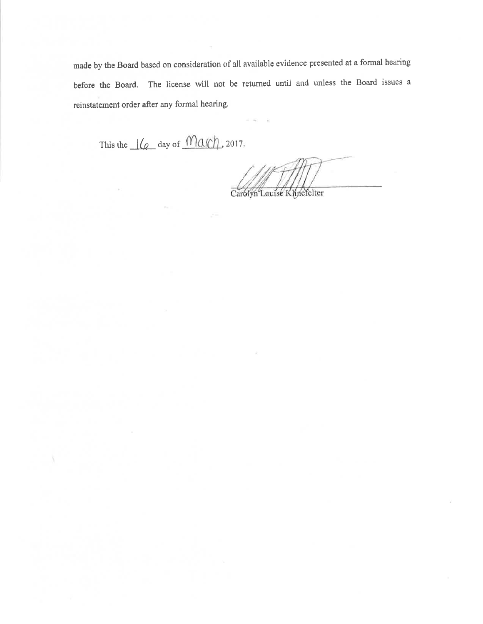made by the Board based on consideration of all available evidence presented at a formal hearing before the Board. The license will not be returned until and unless the Board issues a reinstatement order after any formal hearing.

This the  $\frac{1}{e}$  day of  $\frac{1}{e}$  2017.

Carolyn Louise Kunefelter